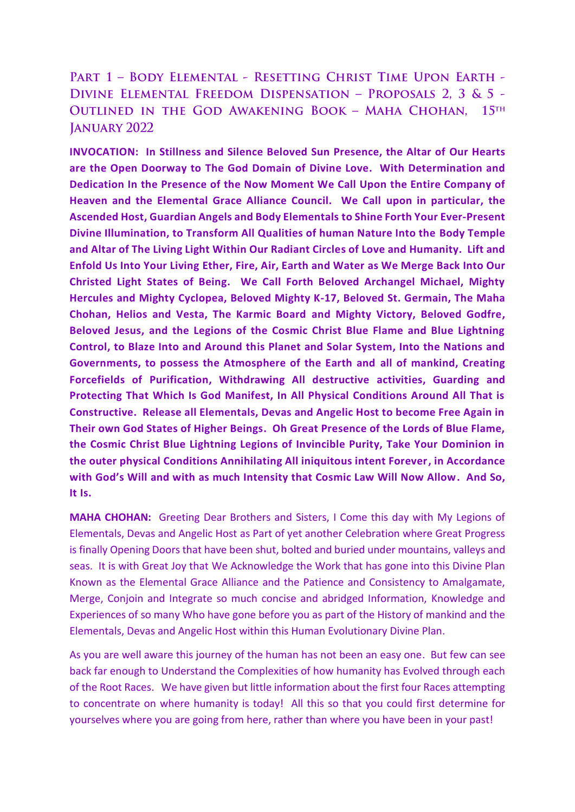## PART 1 - BODY ELEMENTAL - RESETTING CHRIST TIME UPON EARTH -DIVINE ELEMENTAL FREEDOM DISPENSATION - PROPOSALS 2, 3 & 5 -OUTLINED IN THE GOD AWAKENING BOOK - MAHA CHOHAN, 15TH **JANUARY 2022**

**INVOCATION: In Stillness and Silence Beloved Sun Presence, the Altar of Our Hearts are the Open Doorway to The God Domain of Divine Love. With Determination and Dedication In the Presence of the Now Moment We Call Upon the Entire Company of Heaven and the Elemental Grace Alliance Council. We Call upon in particular, the Ascended Host, Guardian Angels and Body Elementals to Shine Forth Your Ever-Present Divine Illumination, to Transform All Qualities of human Nature Into the Body Temple and Altar of The Living Light Within Our Radiant Circles of Love and Humanity. Lift and Enfold Us Into Your Living Ether, Fire, Air, Earth and Water as We Merge Back Into Our Christed Light States of Being. We Call Forth Beloved Archangel Michael, Mighty Hercules and Mighty Cyclopea, Beloved Mighty K-17, Beloved St. Germain, The Maha Chohan, Helios and Vesta, The Karmic Board and Mighty Victory, Beloved Godfre, Beloved Jesus, and the Legions of the Cosmic Christ Blue Flame and Blue Lightning Control, to Blaze Into and Around this Planet and Solar System, Into the Nations and Governments, to possess the Atmosphere of the Earth and all of mankind, Creating Forcefields of Purification, Withdrawing All destructive activities, Guarding and Protecting That Which Is God Manifest, In All Physical Conditions Around All That is Constructive. Release all Elementals, Devas and Angelic Host to become Free Again in Their own God States of Higher Beings. Oh Great Presence of the Lords of Blue Flame, the Cosmic Christ Blue Lightning Legions of Invincible Purity, Take Your Dominion in the outer physical Conditions Annihilating All iniquitous intent Forever, in Accordance with God's Will and with as much Intensity that Cosmic Law Will Now Allow. And So, It Is.**

**MAHA CHOHAN:** Greeting Dear Brothers and Sisters, I Come this day with My Legions of Elementals, Devas and Angelic Host as Part of yet another Celebration where Great Progress is finally Opening Doors that have been shut, bolted and buried under mountains, valleys and seas. It is with Great Joy that We Acknowledge the Work that has gone into this Divine Plan Known as the Elemental Grace Alliance and the Patience and Consistency to Amalgamate, Merge, Conjoin and Integrate so much concise and abridged Information, Knowledge and Experiences of so many Who have gone before you as part of the History of mankind and the Elementals, Devas and Angelic Host within this Human Evolutionary Divine Plan.

As you are well aware this journey of the human has not been an easy one. But few can see back far enough to Understand the Complexities of how humanity has Evolved through each of the Root Races. We have given but little information about the first four Races attempting to concentrate on where humanity is today! All this so that you could first determine for yourselves where you are going from here, rather than where you have been in your past!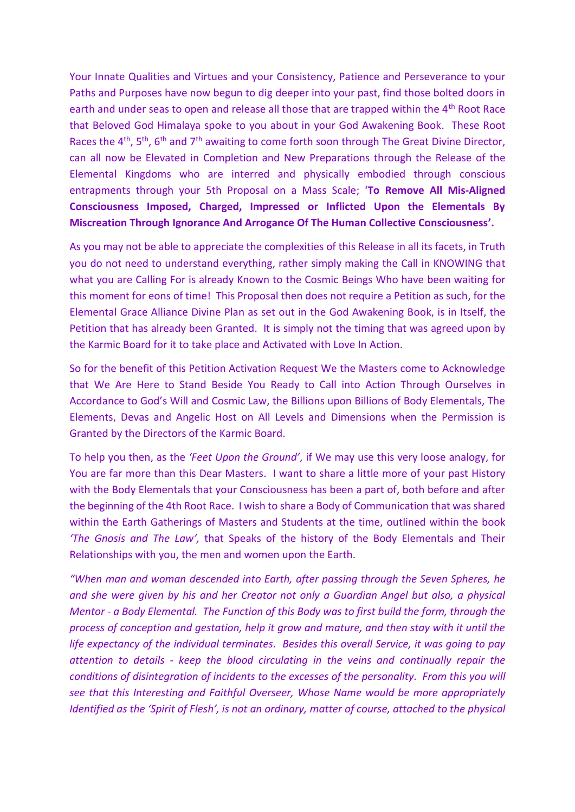Your Innate Qualities and Virtues and your Consistency, Patience and Perseverance to your Paths and Purposes have now begun to dig deeper into your past, find those bolted doors in earth and under seas to open and release all those that are trapped within the 4<sup>th</sup> Root Race that Beloved God Himalaya spoke to you about in your God Awakening Book. These Root Races the 4<sup>th</sup>, 5<sup>th</sup>, 6<sup>th</sup> and 7<sup>th</sup> awaiting to come forth soon through The Great Divine Director, can all now be Elevated in Completion and New Preparations through the Release of the Elemental Kingdoms who are interred and physically embodied through conscious entrapments through your 5th Proposal on a Mass Scale; '**To Remove All Mis-Aligned Consciousness Imposed, Charged, Impressed or Inflicted Upon the Elementals By Miscreation Through Ignorance And Arrogance Of The Human Collective Consciousness'.**

As you may not be able to appreciate the complexities of this Release in all its facets, in Truth you do not need to understand everything, rather simply making the Call in KNOWING that what you are Calling For is already Known to the Cosmic Beings Who have been waiting for this moment for eons of time! This Proposal then does not require a Petition as such, for the Elemental Grace Alliance Divine Plan as set out in the God Awakening Book, is in Itself, the Petition that has already been Granted. It is simply not the timing that was agreed upon by the Karmic Board for it to take place and Activated with Love In Action.

So for the benefit of this Petition Activation Request We the Masters come to Acknowledge that We Are Here to Stand Beside You Ready to Call into Action Through Ourselves in Accordance to God's Will and Cosmic Law, the Billions upon Billions of Body Elementals, The Elements, Devas and Angelic Host on All Levels and Dimensions when the Permission is Granted by the Directors of the Karmic Board.

To help you then, as the *'Feet Upon the Ground'*, if We may use this very loose analogy, for You are far more than this Dear Masters. I want to share a little more of your past History with the Body Elementals that your Consciousness has been a part of, both before and after the beginning of the 4th Root Race. I wish to share a Body of Communication that was shared within the Earth Gatherings of Masters and Students at the time, outlined within the book *'The Gnosis and The Law',* that Speaks of the history of the Body Elementals and Their Relationships with you, the men and women upon the Earth.

*"When man and woman descended into Earth, after passing through the Seven Spheres, he and she were given by his and her Creator not only a Guardian Angel but also, a physical Mentor - a Body Elemental. The Function of this Body was to first build the form, through the process of conception and gestation, help it grow and mature, and then stay with it until the life expectancy of the individual terminates. Besides this overall Service, it was going to pay attention to details - keep the blood circulating in the veins and continually repair the conditions of disintegration of incidents to the excesses of the personality. From this you will see that this Interesting and Faithful Overseer, Whose Name would be more appropriately Identified as the 'Spirit of Flesh', is not an ordinary, matter of course, attached to the physical*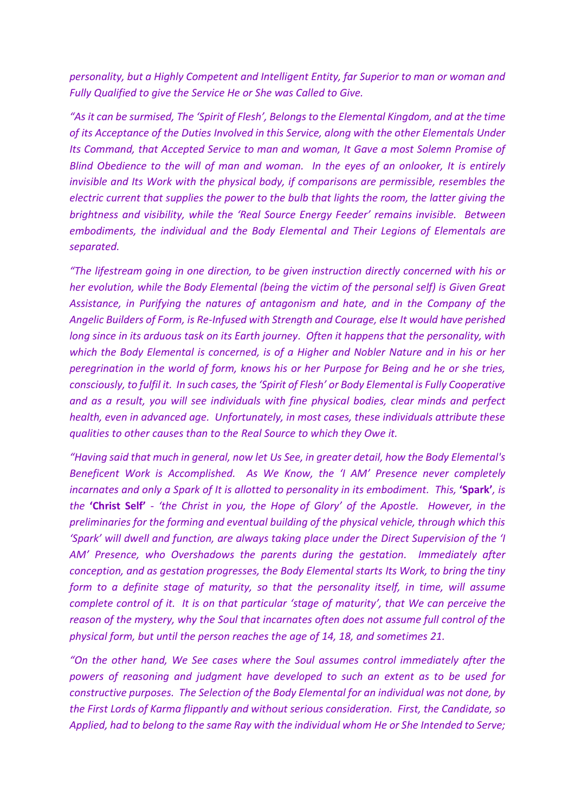*personality, but a Highly Competent and Intelligent Entity, far Superior to man or woman and Fully Qualified to give the Service He or She was Called to Give.* 

*"As it can be surmised, The 'Spirit of Flesh', Belongs to the Elemental Kingdom, and at the time of its Acceptance of the Duties Involved in this Service, along with the other Elementals Under Its Command, that Accepted Service to man and woman, It Gave a most Solemn Promise of Blind Obedience to the will of man and woman. In the eyes of an onlooker, It is entirely invisible and Its Work with the physical body, if comparisons are permissible, resembles the electric current that supplies the power to the bulb that lights the room, the latter giving the brightness and visibility, while the 'Real Source Energy Feeder' remains invisible. Between embodiments, the individual and the Body Elemental and Their Legions of Elementals are separated.*

*"The lifestream going in one direction, to be given instruction directly concerned with his or her evolution, while the Body Elemental (being the victim of the personal self) is Given Great Assistance, in Purifying the natures of antagonism and hate, and in the Company of the Angelic Builders of Form, is Re-Infused with Strength and Courage, else It would have perished long since in its arduous task on its Earth journey. Often it happens that the personality, with which the Body Elemental is concerned, is of a Higher and Nobler Nature and in his or her peregrination in the world of form, knows his or her Purpose for Being and he or she tries, consciously, to fulfil it. In such cases, the 'Spirit of Flesh' or Body Elemental is Fully Cooperative and as a result, you will see individuals with fine physical bodies, clear minds and perfect health, even in advanced age. Unfortunately, in most cases, these individuals attribute these qualities to other causes than to the Real Source to which they Owe it.*

*"Having said that much in general, now let Us See, in greater detail, how the Body Elemental's Beneficent Work is Accomplished. As We Know, the 'I AM' Presence never completely incarnates and only a Spark of It is allotted to personality in its embodiment. This,* **'Spark'***, is the* **'Christ Self'** *- 'the Christ in you, the Hope of Glory' of the Apostle. However, in the preliminaries for the forming and eventual building of the physical vehicle, through which this 'Spark' will dwell and function, are always taking place under the Direct Supervision of the 'I AM' Presence, who Overshadows the parents during the gestation. Immediately after conception, and as gestation progresses, the Body Elemental starts Its Work, to bring the tiny form to a definite stage of maturity, so that the personality itself, in time, will assume complete control of it. It is on that particular 'stage of maturity', that We can perceive the reason of the mystery, why the Soul that incarnates often does not assume full control of the physical form, but until the person reaches the age of 14, 18, and sometimes 21.* 

*"On the other hand, We See cases where the Soul assumes control immediately after the powers of reasoning and judgment have developed to such an extent as to be used for constructive purposes. The Selection of the Body Elemental for an individual was not done, by the First Lords of Karma flippantly and without serious consideration. First, the Candidate, so Applied, had to belong to the same Ray with the individual whom He or She Intended to Serve;*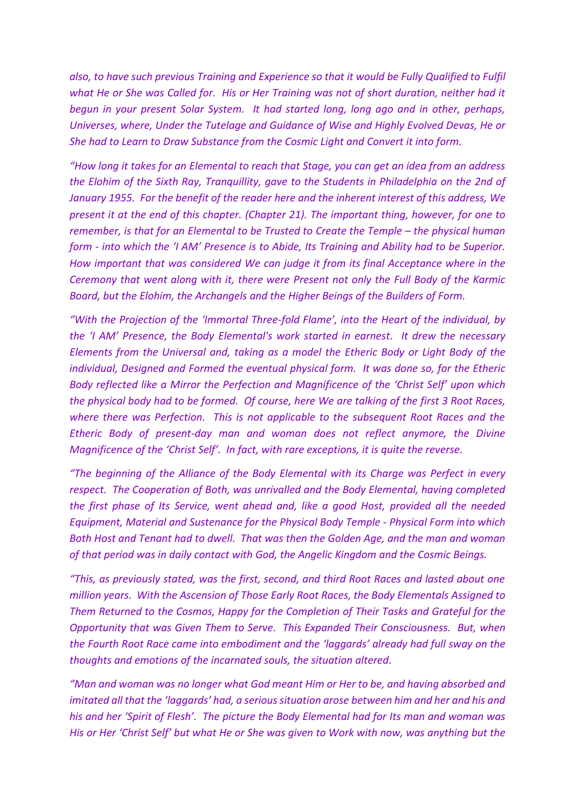*also, to have such previous Training and Experience so that it would be Fully Qualified to Fulfil what He or She was Called for. His or Her Training was not of short duration, neither had it begun in your present Solar System. It had started long, long ago and in other, perhaps, Universes, where, Under the Tutelage and Guidance of Wise and Highly Evolved Devas, He or She had to Learn to Draw Substance from the Cosmic Light and Convert it into form.* 

*"How long it takes for an Elemental to reach that Stage, you can get an idea from an address the Elohim of the Sixth Ray, Tranquillity, gave to the Students in Philadelphia on the 2nd of January 1955. For the benefit of the reader here and the inherent interest of this address, We present it at the end of this chapter. (Chapter 21). The important thing, however, for one to remember, is that for an Elemental to be Trusted to Create the Temple – the physical human form - into which the 'I AM' Presence is to Abide, Its Training and Ability had to be Superior. How important that was considered We can judge it from its final Acceptance where in the Ceremony that went along with it, there were Present not only the Full Body of the Karmic Board, but the Elohim, the Archangels and the Higher Beings of the Builders of Form.* 

*"With the Projection of the 'Immortal Three-fold Flame', into the Heart of the individual, by the 'I AM' Presence, the Body Elemental's work started in earnest. It drew the necessary Elements from the Universal and, taking as a model the Etheric Body or Light Body of the individual, Designed and Formed the eventual physical form. It was done so, for the Etheric Body reflected like a Mirror the Perfection and Magnificence of the 'Christ Self' upon which the physical body had to be formed. Of course, here We are talking of the first 3 Root Races, where there was Perfection. This is not applicable to the subsequent Root Races and the Etheric Body of present-day man and woman does not reflect anymore, the Divine Magnificence of the 'Christ Self'. In fact, with rare exceptions, it is quite the reverse.* 

*"The beginning of the Alliance of the Body Elemental with its Charge was Perfect in every respect. The Cooperation of Both, was unrivalled and the Body Elemental, having completed the first phase of Its Service, went ahead and, like a good Host, provided all the needed Equipment, Material and Sustenance for the Physical Body Temple - Physical Form into which Both Host and Tenant had to dwell. That was then the Golden Age, and the man and woman of that period was in daily contact with God, the Angelic Kingdom and the Cosmic Beings.*

*"This, as previously stated, was the first, second, and third Root Races and lasted about one million years. With the Ascension of Those Early Root Races, the Body Elementals Assigned to Them Returned to the Cosmos, Happy for the Completion of Their Tasks and Grateful for the Opportunity that was Given Them to Serve. This Expanded Their Consciousness. But, when the Fourth Root Race came into embodiment and the 'laggards' already had full sway on the thoughts and emotions of the incarnated souls, the situation altered.* 

*"Man and woman was no longer what God meant Him or Her to be, and having absorbed and imitated all that the 'laggards' had, a serious situation arose between him and her and his and his and her 'Spirit of Flesh'. The picture the Body Elemental had for Its man and woman was His or Her 'Christ Self' but what He or She was given to Work with now, was anything but the*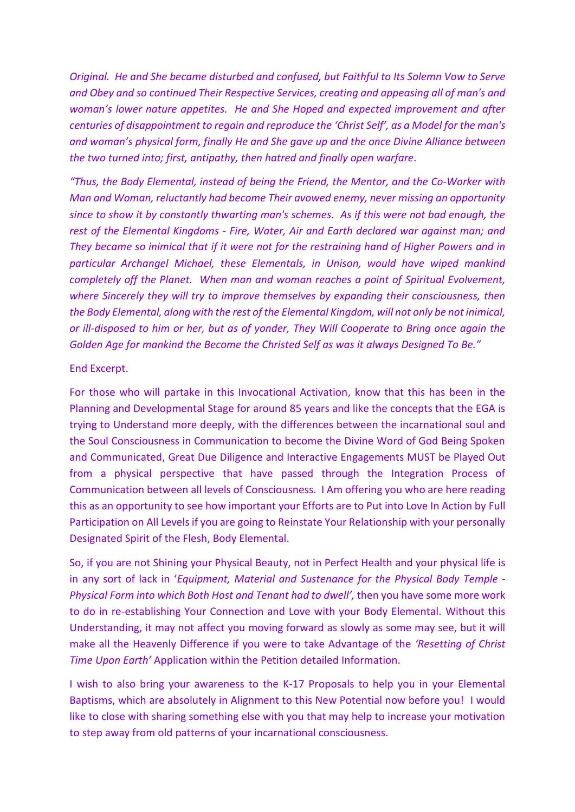*Original. He and She became disturbed and confused, but Faithful to Its Solemn Vow to Serve and Obey and so continued Their Respective Services, creating and appeasing all of man's and woman's lower nature appetites. He and She Hoped and expected improvement and after centuries of disappointment to regain and reproduce the 'Christ Self', as a Model for the man's and woman's physical form, finally He and She gave up and the once Divine Alliance between the two turned into; first, antipathy, then hatred and finally open warfare.* 

*"Thus, the Body Elemental, instead of being the Friend, the Mentor, and the Co-Worker with Man and Woman, reluctantly had become Their avowed enemy, never missing an opportunity since to show it by constantly thwarting man's schemes. As if this were not bad enough, the rest of the Elemental Kingdoms - Fire, Water, Air and Earth declared war against man; and They became so inimical that if it were not for the restraining hand of Higher Powers and in particular Archangel Michael, these Elementals, in Unison, would have wiped mankind completely off the Planet. When man and woman reaches a point of Spiritual Evolvement, where Sincerely they will try to improve themselves by expanding their consciousness, then the Body Elemental, along with the rest of the Elemental Kingdom, will not only be not inimical, or ill-disposed to him or her, but as of yonder, They Will Cooperate to Bring once again the Golden Age for mankind the Become the Christed Self as was it always Designed To Be."*

## End Excerpt.

For those who will partake in this Invocational Activation, know that this has been in the Planning and Developmental Stage for around 85 years and like the concepts that the EGA is trying to Understand more deeply, with the differences between the incarnational soul and the Soul Consciousness in Communication to become the Divine Word of God Being Spoken and Communicated, Great Due Diligence and Interactive Engagements MUST be Played Out from a physical perspective that have passed through the Integration Process of Communication between all levels of Consciousness. I Am offering you who are here reading this as an opportunity to see how important your Efforts are to Put into Love In Action by Full Participation on All Levels if you are going to Reinstate Your Relationship with your personally Designated Spirit of the Flesh, Body Elemental.

So, if you are not Shining your Physical Beauty, not in Perfect Health and your physical life is in any sort of lack in '*Equipment, Material and Sustenance for the Physical Body Temple - Physical Form into which Both Host and Tenant had to dwell',* then you have some more work to do in re-establishing Your Connection and Love with your Body Elemental. Without this Understanding, it may not affect you moving forward as slowly as some may see, but it will make all the Heavenly Difference if you were to take Advantage of the *'Resetting of Christ Time Upon Earth'* Application within the Petition detailed Information.

I wish to also bring your awareness to the K-17 Proposals to help you in your Elemental Baptisms, which are absolutely in Alignment to this New Potential now before you! I would like to close with sharing something else with you that may help to increase your motivation to step away from old patterns of your incarnational consciousness.